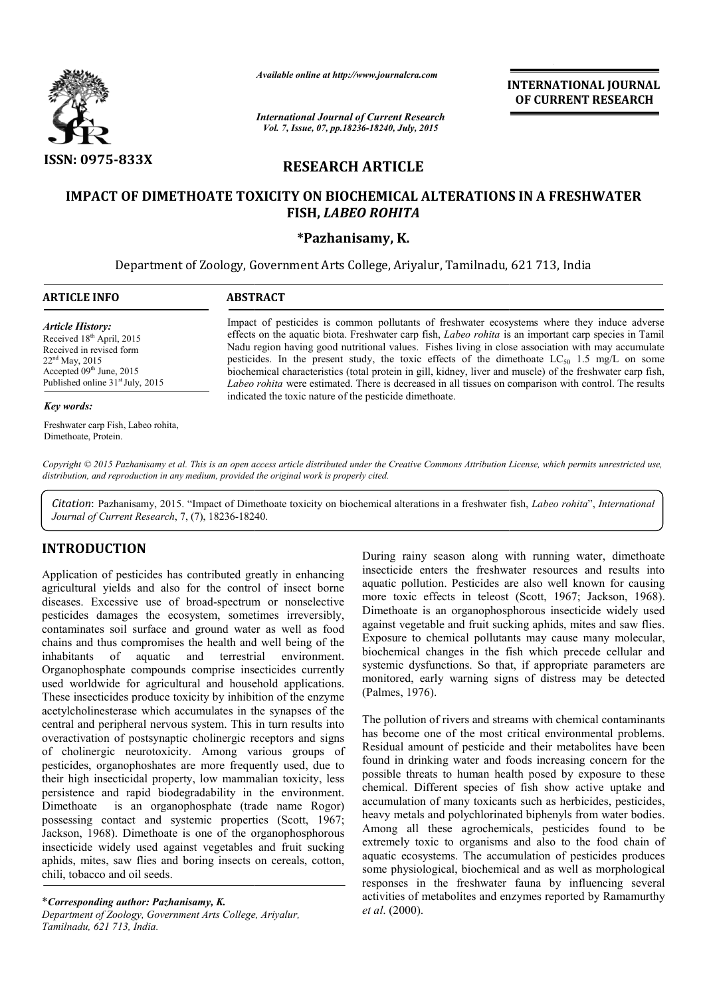

*Available online at http://www.journalcra.com*

INTERNATIONAL INTERNATIONAL JOURNAL OF CURRENT RESEARCH

*International Journal of Current Research Vol. 7, Issue, 07, pp.18236-18240, July, 2015*

# RESEARCH ARTICLE

## IMPACT OF DIMETHOATE TOXICITY ON BIOCHEMICAL ALTERATIONS IN A FRESHWATER FISH, *LABEO ROHITA*

## \*Pazhanisamy, K.

Department of Zoology, Government Arts College, Ariyalur, Tamilnadu, 621 713, India

| <b>ARTICLE INFO</b>                                                                                                                                                                            | <b>ABSTRACT</b>                                                                                                                                                                                                                                                                                                                                                                                                                                                                                                                                                                                                                                                                                     |  |  |  |
|------------------------------------------------------------------------------------------------------------------------------------------------------------------------------------------------|-----------------------------------------------------------------------------------------------------------------------------------------------------------------------------------------------------------------------------------------------------------------------------------------------------------------------------------------------------------------------------------------------------------------------------------------------------------------------------------------------------------------------------------------------------------------------------------------------------------------------------------------------------------------------------------------------------|--|--|--|
| <b>Article History:</b><br>Received 18 <sup>th</sup> April, 2015<br>Received in revised form<br>$22nd$ May, 2015<br>Accepted $09th$ June, 2015<br>Published online 31 <sup>st</sup> July, 2015 | Impact of pesticides is common pollutants of freshwater ecosystems where they induce adverse<br>effects on the aquatic biota. Freshwater carp fish, Labeo rohita is an important carp species in Tamil<br>Nadu region having good nutritional values. Fishes living in close association with may accumulate<br>pesticides. In the present study, the toxic effects of the dimethoate $LC_{50}$ 1.5 mg/L on some<br>biochemical characteristics (total protein in gill, kidney, liver and muscle) of the freshwater carp fish,<br>Labeo rohita were estimated. There is decreased in all tissues on comparison with control. The results<br>indicated the toxic nature of the pesticide dimethoate. |  |  |  |
| Key words:                                                                                                                                                                                     |                                                                                                                                                                                                                                                                                                                                                                                                                                                                                                                                                                                                                                                                                                     |  |  |  |
| Freshwater carp Fish, Labeo rohita,<br>Dimethoate, Protein.                                                                                                                                    |                                                                                                                                                                                                                                                                                                                                                                                                                                                                                                                                                                                                                                                                                                     |  |  |  |

Copyright © 2015 Pazhanisamy et al. This is an open access article distributed under the Creative Commons Attribution License, which permits unrestricted use, *distribution, and reproduction in any medium, provided the original work is properly cited.*

Citation: Pazhanisamy, 2015. "Impact of Dimethoate toxicity on biochemical alterations in a freshwater fish, Labeo rohita", International *Journal of Current Research*, 7, (7), 18236-18240 18240.

## INTRODUCTION

Application of pesticides has contributed greatly in enhancing agricultural yields and also for the control of insect borne diseases. Excessive use of broad-spectrum or nonselective pesticides damages the ecosystem, sometimes irreversibly, contaminates soil surface and ground water as well as food chains and thus compromises the health and well being of the inhabitants of aquatic and terrestrial environment. Organophosphate compounds comprise insecticides currently used worldwide for agricultural and household applications. These insecticides produce toxicity by inhibition of the enzyme acetylcholinesterase which accumulates in the synapses of the central and peripheral nervous system. This in turn results into overactivation of postsynaptic cholinergic receptors and signs of cholinergic neurotoxicity. Among various groups of pesticides, organophoshates are more frequently used, due to their high insecticidal property, low mammalian toxicity, less persistence and rapid biodegradability in the environment. Dimethoate is an organophosphate (trade name Rogor) Dimethoate is an organophosphate (trade name Rogor) possessing contact and systemic properties (Scott, 1967; Jackson, 1968). Dimethoate is one of the organophosphorous insecticide widely used against vegetables and fruit sucking aphids, mites, saw flies and boring insects on cereals, cotton, chili, tobacco and oil seeds. ive use of broad-spectrum or nonselective<br>ges the ecosystem, sometimes irreversibly,<br>I surface and ground water as well as food<br>compromises the health and well being of the<br>aquatic and terrestrial environment.<br>compounds co

\**Corresponding author: Pazhanisamy, K. Department of Zoology, Government Arts College, Ariyalur, Tamilnadu, 621 713, India.*

During rainy season along with running water, dimethoate insecticide enters the freshwater resources and results into aquatic pollution. Pesticides are also well known for causing During rainy season along with running water, dimethoate insecticide enters the freshwater resources and results into aquatic pollution. Pesticides are also well known for causing more toxic effects in teleost (Scott, 1967 Dimethoate is an organophosphorous insecticide widely used against vegetable and fruit sucking aphids, mites and saw flies. Exposure to chemical pollutants may cause many molecular, biochemical changes in the fish which precede cellular and systemic dysfunctions. So that, if appropriate parameters are monitored, early warning signs of distress may be detected (Palmes, 1976). Dimethoate is an organophosphorous insecticide widely used against vegetable and fruit sucking aphids, mites and saw flies.<br>Exposure to chemical pollutants may cause many molecular, biochemical changes in the fish which pr

The pollution of rivers and streams with chemical contaminants has become one of the most critical environmental problems. Residual amount of pesticide and their metabolites have been found in drinking water and foods increasing concern for the possible threats to human health posed by exposure to these chemical. Different species of fish show active uptake and accumulation of many toxicants such as herbicides, pesticides, heavy metals and polychlorinated biphenyls from water bodies. Among all these agrochemicals, pesticides found to be extremely toxic to organisms and also to the food chain of aquatic ecosystems. The accumulation of pesticides produces some physiological, biochemical and as well as morphological responses in the freshwater fauna by influencing several activities of metabolites and enzymes reported by Ramamurthy *et al*. (2000). inced, early warning signs of distress may be detected<br>is, 1976).<br>Illution of rivers and streams with chemical contaminants<br>come one of the most critical environmental problems.<br>In amount of pesticide and their metabolites **INTERNATIONAL JOURNAL FORMATIONAL JOURNAL CONTRIBUTE CONTRIBUTE CONTRIBUTE CONTRIBUTE CONTRIBUTE (CONTRIBUTE CONTRIBUTE CONTRIBUTE CONTRIBUTE CONTRIBUTE CONTRIBUTE CONTRIBUTE CONTRIBUTE CONTRIBUTE CONTRIBUTE CONTRIBUTE C**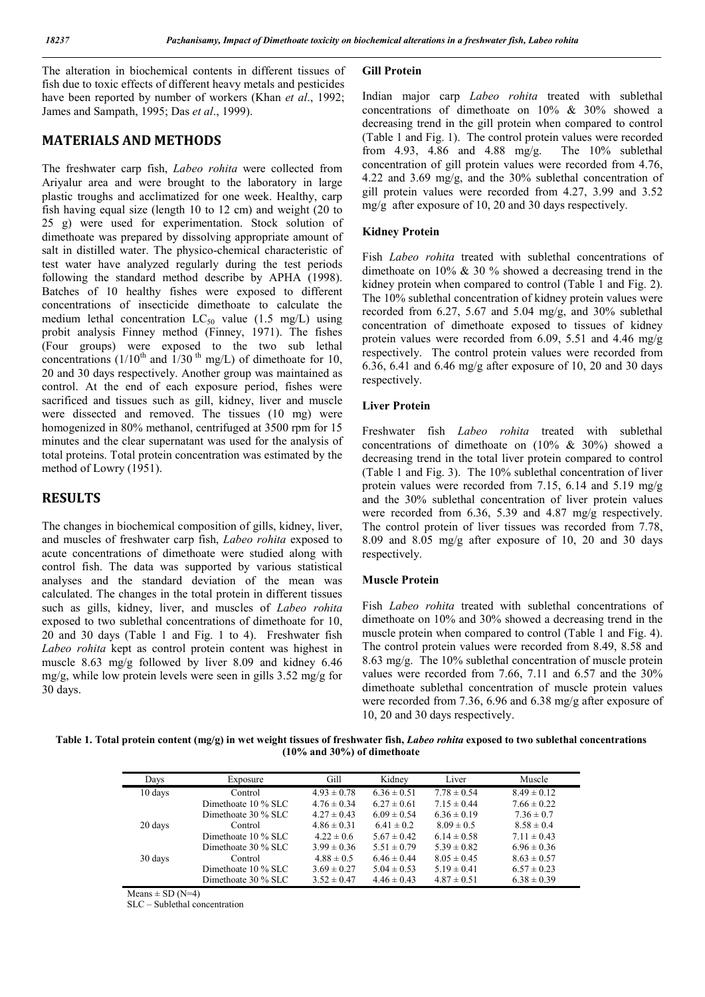The alteration in biochemical contents in different tissues of fish due to toxic effects of different heavy metals and pesticides have been reported by number of workers (Khan *et al*., 1992; James and Sampath, 1995; Das *et al*., 1999).

## MATERIALS AND METHODS

The freshwater carp fish, *Labeo rohita* were collected from Ariyalur area and were brought to the laboratory in large plastic troughs and acclimatized for one week. Healthy, carp fish having equal size (length 10 to 12 cm) and weight (20 to 25 g) were used for experimentation. Stock solution of dimethoate was prepared by dissolving appropriate amount of salt in distilled water. The physico-chemical characteristic of test water have analyzed regularly during the test periods following the standard method describe by APHA (1998). Batches of 10 healthy fishes were exposed to different concentrations of insecticide dimethoate to calculate the medium lethal concentration  $LC_{50}$  value (1.5 mg/L) using probit analysis Finney method (Finney, 1971). The fishes (Four groups) were exposed to the two sub lethal concentrations ( $1/10^{th}$  and  $1/30^{th}$  mg/L) of dimethoate for 10, 20 and 30 days respectively. Another group was maintained as control. At the end of each exposure period, fishes were sacrificed and tissues such as gill, kidney, liver and muscle were dissected and removed. The tissues (10 mg) were homogenized in 80% methanol, centrifuged at 3500 rpm for 15 minutes and the clear supernatant was used for the analysis of total proteins. Total protein concentration was estimated by the method of Lowry (1951).

## RESULTS

The changes in biochemical composition of gills, kidney, liver, and muscles of freshwater carp fish, *Labeo rohita* exposed to acute concentrations of dimethoate were studied along with control fish. The data was supported by various statistical analyses and the standard deviation of the mean was calculated. The changes in the total protein in different tissues such as gills, kidney, liver, and muscles of *Labeo rohita* exposed to two sublethal concentrations of dimethoate for 10, 20 and 30 days (Table 1 and Fig. 1 to 4). Freshwater fish *Labeo rohita* kept as control protein content was highest in muscle 8.63 mg/g followed by liver 8.09 and kidney 6.46 mg/g, while low protein levels were seen in gills 3.52 mg/g for 30 days.

#### Gill Protein

Indian major carp *Labeo rohita* treated with sublethal concentrations of dimethoate on 10% & 30% showed a decreasing trend in the gill protein when compared to control (Table 1 and Fig. 1). The control protein values were recorded from 4.93, 4.86 and 4.88 mg/g. The 10% sublethal concentration of gill protein values were recorded from 4.76, 4.22 and 3.69 mg/g, and the 30% sublethal concentration of gill protein values were recorded from 4.27, 3.99 and 3.52 mg/g after exposure of 10, 20 and 30 days respectively.

#### Kidney Protein

Fish *Labeo rohita* treated with sublethal concentrations of dimethoate on 10% & 30 % showed a decreasing trend in the kidney protein when compared to control (Table 1 and Fig. 2). The 10% sublethal concentration of kidney protein values were recorded from 6.27, 5.67 and 5.04 mg/g, and 30% sublethal concentration of dimethoate exposed to tissues of kidney protein values were recorded from 6.09, 5.51 and 4.46 mg/g respectively. The control protein values were recorded from 6.36, 6.41 and 6.46 mg/g after exposure of 10, 20 and 30 days respectively.

#### Liver Protein

Freshwater fish *Labeo rohita* treated with sublethal concentrations of dimethoate on (10% & 30%) showed a decreasing trend in the total liver protein compared to control (Table 1 and Fig. 3). The 10% sublethal concentration of liver protein values were recorded from 7.15, 6.14 and 5.19 mg/g and the 30% sublethal concentration of liver protein values were recorded from 6.36, 5.39 and 4.87 mg/g respectively. The control protein of liver tissues was recorded from 7.78, 8.09 and 8.05 mg/g after exposure of 10, 20 and 30 days respectively.

#### Muscle Protein

Fish *Labeo rohita* treated with sublethal concentrations of dimethoate on 10% and 30% showed a decreasing trend in the muscle protein when compared to control (Table 1 and Fig. 4). The control protein values were recorded from 8.49, 8.58 and 8.63 mg/g. The 10% sublethal concentration of muscle protein values were recorded from 7.66, 7.11 and 6.57 and the 30% dimethoate sublethal concentration of muscle protein values were recorded from 7.36, 6.96 and 6.38 mg/g after exposure of 10, 20 and 30 days respectively.

Table 1. Total protein content (mg/g) in wet weight tissues of freshwater fish, *Labeo rohita* exposed to two sublethal concentrations (10% and 30%) of dimethoate

| Days    | Exposure              | Gill            | Kidney          | Liver           | Muscle          |
|---------|-----------------------|-----------------|-----------------|-----------------|-----------------|
| 10 days | Control               | $4.93 \pm 0.78$ | $6.36 \pm 0.51$ | $7.78 \pm 0.54$ | $8.49 \pm 0.12$ |
|         | Dimethoate $10\%$ SLC | $4.76 \pm 0.34$ | $6.27 \pm 0.61$ | $7.15 \pm 0.44$ | $7.66 \pm 0.22$ |
|         | Dimethoate 30 % SLC   | $4.27 \pm 0.43$ | $6.09 \pm 0.54$ | $6.36 \pm 0.19$ | $7.36 \pm 0.7$  |
| 20 days | Control               | $4.86 \pm 0.31$ | $6.41 \pm 0.2$  | $8.09 \pm 0.5$  | $8.58 \pm 0.4$  |
|         | Dimethoate $10\%$ SLC | $4.22 \pm 0.6$  | $5.67 \pm 0.42$ | $6.14 \pm 0.58$ | $7.11 \pm 0.43$ |
|         | Dimethoate $30\%$ SLC | $3.99 \pm 0.36$ | $5.51 \pm 0.79$ | $5.39 \pm 0.82$ | $6.96 \pm 0.36$ |
| 30 days | Control               | $4.88 \pm 0.5$  | $6.46 \pm 0.44$ | $8.05 \pm 0.45$ | $8.63 \pm 0.57$ |
|         | Dimethoate $10\%$ SLC | $3.69 \pm 0.27$ | $5.04 \pm 0.53$ | $5.19 \pm 0.41$ | $6.57 \pm 0.23$ |
|         | Dimethoate 30 % SLC   | $3.52 \pm 0.47$ | $4.46 \pm 0.43$ | $4.87 \pm 0.51$ | $6.38 \pm 0.39$ |

 $Means \pm SD(N=4)$ 

SLC – Sublethal concentration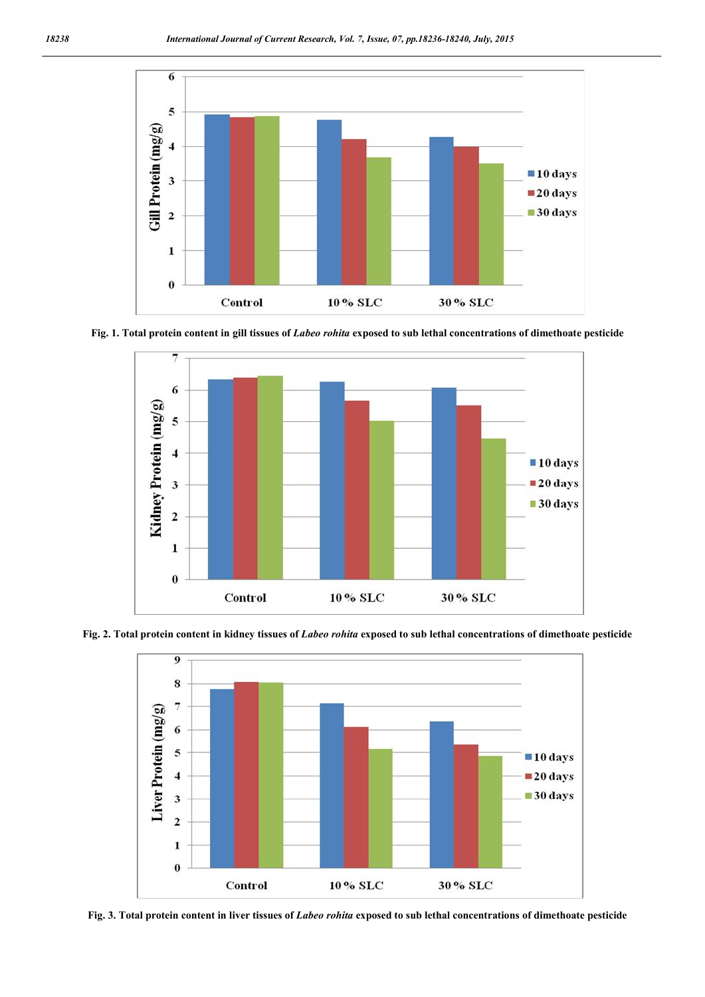

Fig. 1. Total protein content in gill tissues of *Labeo rohita* exposed to sub lethal concentrations of dimethoate pesticide



Fig. 2. Total protein content in kidney tissues of *Labeo rohita* exposed to sub lethal concentrations of dimethoate pesticide



Fig. 3. Total protein content in liver tissues of *Labeo rohita* exposed to sub lethal concentrations of dimethoate pesticide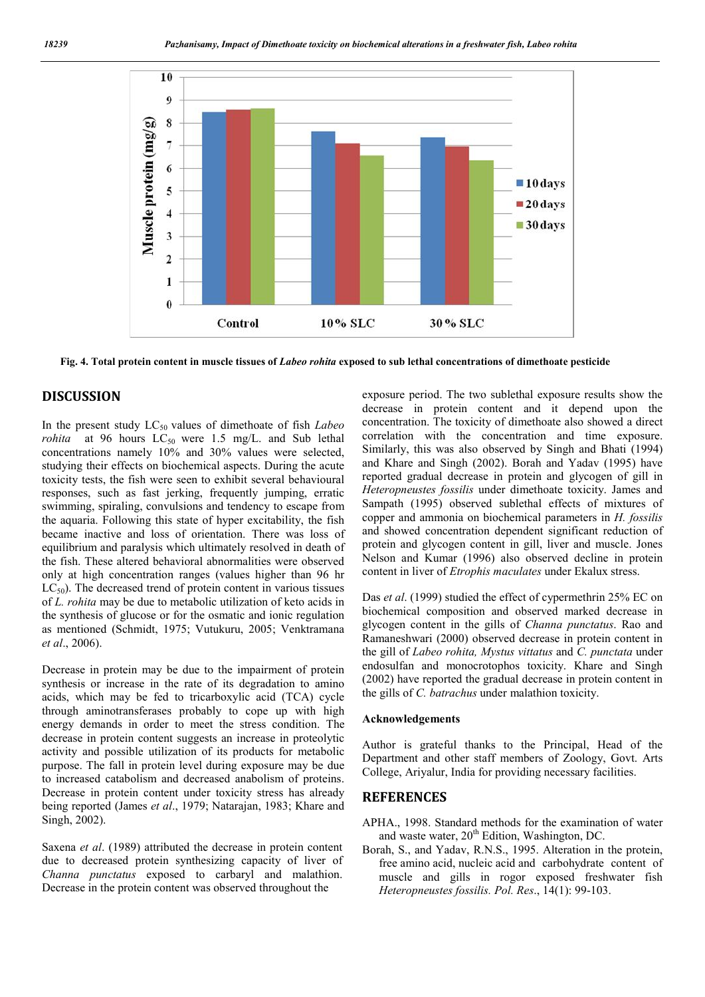

Fig. 4. Total protein content in muscle tissues of *Labeo rohita* exposed to sub lethal concentrations of dimethoate pesticide

### DISCUSSION

In the present study LC<sub>50</sub> values of dimethoate of fish *Labeo rohita* at 96 hours  $LC_{50}$  were 1.5 mg/L. and Sub lethal concentrations namely 10% and 30% values were selected, studying their effects on biochemical aspects. During the acute toxicity tests, the fish were seen to exhibit several behavioural responses, such as fast jerking, frequently jumping, erratic swimming, spiraling, convulsions and tendency to escape from the aquaria. Following this state of hyper excitability, the fish became inactive and loss of orientation. There was loss of equilibrium and paralysis which ultimately resolved in death of the fish. These altered behavioral abnormalities were observed only at high concentration ranges (values higher than 96 hr  $LC_{50}$ ). The decreased trend of protein content in various tissues of *L. rohita* may be due to metabolic utilization of keto acids in the synthesis of glucose or for the osmatic and ionic regulation as mentioned (Schmidt, 1975; Vutukuru, 2005; Venktramana *et al*., 2006).

Decrease in protein may be due to the impairment of protein synthesis or increase in the rate of its degradation to amino acids, which may be fed to tricarboxylic acid (TCA) cycle through aminotransferases probably to cope up with high energy demands in order to meet the stress condition. The decrease in protein content suggests an increase in proteolytic activity and possible utilization of its products for metabolic purpose. The fall in protein level during exposure may be due to increased catabolism and decreased anabolism of proteins. Decrease in protein content under toxicity stress has already being reported (James *et al*., 1979; Natarajan, 1983; Khare and Singh, 2002).

Saxena *et al*. (1989) attributed the decrease in protein content due to decreased protein synthesizing capacity of liver of *Channa punctatus* exposed to carbaryl and malathion. Decrease in the protein content was observed throughout the

exposure period. The two sublethal exposure results show the decrease in protein content and it depend upon the concentration. The toxicity of dimethoate also showed a direct correlation with the concentration and time exposure. Similarly, this was also observed by Singh and Bhati (1994) and Khare and Singh (2002). Borah and Yadav (1995) have reported gradual decrease in protein and glycogen of gill in *Heteropneustes fossilis* under dimethoate toxicity. James and Sampath (1995) observed sublethal effects of mixtures of copper and ammonia on biochemical parameters in *H. fossilis*  and showed concentration dependent significant reduction of protein and glycogen content in gill, liver and muscle. Jones Nelson and Kumar (1996) also observed decline in protein content in liver of *Etrophis maculates* under Ekalux stress.

Das *et al*. (1999) studied the effect of cypermethrin 25% EC on biochemical composition and observed marked decrease in glycogen content in the gills of *Channa punctatus*. Rao and Ramaneshwari (2000) observed decrease in protein content in the gill of *Labeo rohita, Mystus vittatus* and *C. punctata* under endosulfan and monocrotophos toxicity. Khare and Singh (2002) have reported the gradual decrease in protein content in the gills of *C. batrachus* under malathion toxicity.

#### Acknowledgements

Author is grateful thanks to the Principal, Head of the Department and other staff members of Zoology, Govt. Arts College, Ariyalur, India for providing necessary facilities.

#### **REFERENCES**

- APHA., 1998. Standard methods for the examination of water and waste water,  $20<sup>th</sup>$  Edition, Washington, DC.
- Borah, S., and Yadav, R.N.S., 1995. Alteration in the protein, free amino acid, nucleic acid and carbohydrate content of muscle and gills in rogor exposed freshwater fish *Heteropneustes fossilis. Pol. Res*., 14(1): 99-103.